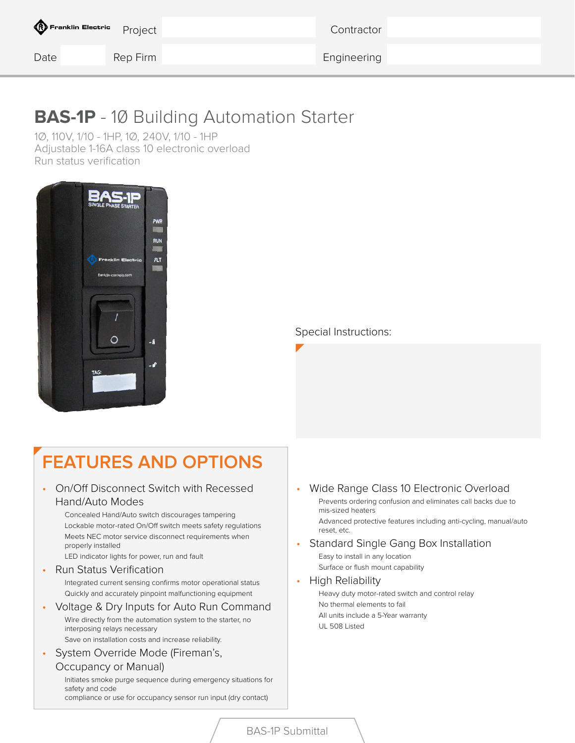| <b>C</b> Franklin Electric Project |          | Contractor  |  |
|------------------------------------|----------|-------------|--|
| Date                               | Rep Firm | Engineering |  |

## **BAS-1P** - 10 Building Automation Starter

1Ø, 110V, 1/10 - 1HP, 1Ø, 240V, 1/10 - 1HP Adjustable 1-16A class 10 electronic overload Run status verification



Special Instructions:

# **FEATURES AND OPTIONS**

- On/Off Disconnect Switch with Recessed Hand/Auto Modes
	- Concealed Hand/Auto switch discourages tampering Lockable motor-rated On/Off switch meets safety regulations Meets NEC motor service disconnect requirements when properly installed

LED indicator lights for power, run and fault

• Run Status Verification

Integrated current sensing confirms motor operational status Quickly and accurately pinpoint malfunctioning equipment

- Voltage & Dry Inputs for Auto Run Command Wire directly from the automation system to the starter, no interposing relays necessary Save on installation costs and increase reliability.
- System Override Mode (Fireman's,

#### Occupancy or Manual)

Initiates smoke purge sequence during emergency situations for safety and code

compliance or use for occupancy sensor run input (dry contact)

• Wide Range Class 10 Electronic Overload Prevents ordering confusion and eliminates call backs due to mis-sized heaters

Advanced protective features including anti-cycling, manual/auto reset, etc.

• Standard Single Gang Box Installation Easy to install in any location Surface or flush mount capability

#### • High Reliability

Heavy duty motor-rated switch and control relay No thermal elements to fail All units include a 5-Year warranty UL 508 Listed

BAS-1P Submittal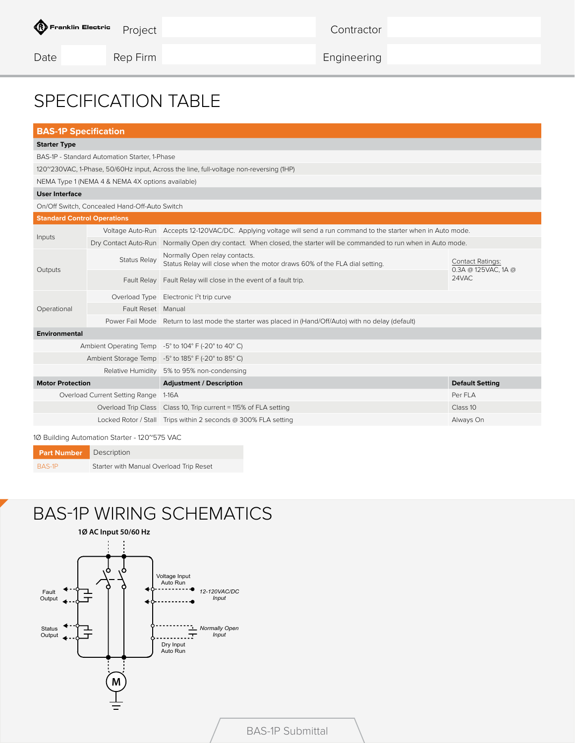**Contractor** 

Date Rep Firm Rep Firm Engineering

### SPECIFICATION TABLE

| <b>BAS-1P Specification</b>        |                                                  |                                                                                                                      |                                                         |  |  |  |
|------------------------------------|--------------------------------------------------|----------------------------------------------------------------------------------------------------------------------|---------------------------------------------------------|--|--|--|
| <b>Starter Type</b>                |                                                  |                                                                                                                      |                                                         |  |  |  |
|                                    | BAS-1P - Standard Automation Starter, 1-Phase    |                                                                                                                      |                                                         |  |  |  |
|                                    |                                                  | 120~230VAC, 1-Phase, 50/60Hz input, Across the line, full-voltage non-reversing (1HP)                                |                                                         |  |  |  |
|                                    | NEMA Type 1 (NEMA 4 & NEMA 4X options available) |                                                                                                                      |                                                         |  |  |  |
| <b>User Interface</b>              |                                                  |                                                                                                                      |                                                         |  |  |  |
|                                    | On/Off Switch, Concealed Hand-Off-Auto Switch    |                                                                                                                      |                                                         |  |  |  |
| <b>Standard Control Operations</b> |                                                  |                                                                                                                      |                                                         |  |  |  |
|                                    |                                                  | Voltage Auto-Run Accepts 12-120VAC/DC. Applying voltage will send a run command to the starter when in Auto mode.    |                                                         |  |  |  |
| Inputs                             |                                                  | Dry Contact Auto-Run Normally Open dry contact. When closed, the starter will be commanded to run when in Auto mode. |                                                         |  |  |  |
|                                    | Status Relay                                     | Normally Open relay contacts.<br>Status Relay will close when the motor draws 60% of the FLA dial setting.           | <b>Contact Ratings:</b><br>0.3A @ 125VAC, 1A @<br>24VAC |  |  |  |
| Outputs                            |                                                  | Fault Relay   Fault Relay will close in the event of a fault trip.                                                   |                                                         |  |  |  |
|                                    |                                                  | Overload Type Electronic l <sup>2</sup> t trip curve                                                                 |                                                         |  |  |  |
| Operational                        | Fault Reset Manual                               |                                                                                                                      |                                                         |  |  |  |
|                                    |                                                  | Power Fail Mode Return to last mode the starter was placed in (Hand/Off/Auto) with no delay (default)                |                                                         |  |  |  |
| <b>Environmental</b>               |                                                  |                                                                                                                      |                                                         |  |  |  |
|                                    |                                                  | Ambient Operating Temp -5° to 104° F (-20° to 40° C)                                                                 |                                                         |  |  |  |
|                                    |                                                  | Ambient Storage Temp -5° to 185° F (-20° to 85° C)                                                                   |                                                         |  |  |  |
|                                    |                                                  | Relative Humidity 5% to 95% non-condensing                                                                           |                                                         |  |  |  |
| <b>Motor Protection</b>            |                                                  | <b>Adjustment / Description</b>                                                                                      | <b>Default Setting</b>                                  |  |  |  |
|                                    | Overload Current Setting Range 1-16A             |                                                                                                                      | Per FLA                                                 |  |  |  |
|                                    |                                                  | Overload Trip Class   Class 10, Trip current = 115% of FLA setting                                                   | Class 10                                                |  |  |  |
|                                    |                                                  | Locked Rotor / Stall Trips within 2 seconds @ 300% FLA setting                                                       | Always On                                               |  |  |  |
|                                    |                                                  |                                                                                                                      |                                                         |  |  |  |

1Ø Building Automation Starter - 120~575 VAC

| <b>Part Number</b> | Description                             |
|--------------------|-----------------------------------------|
| BAS-1P             | Starter with Manual Overload Trip Reset |

## BAS-1P WIRING SCHEMATICS

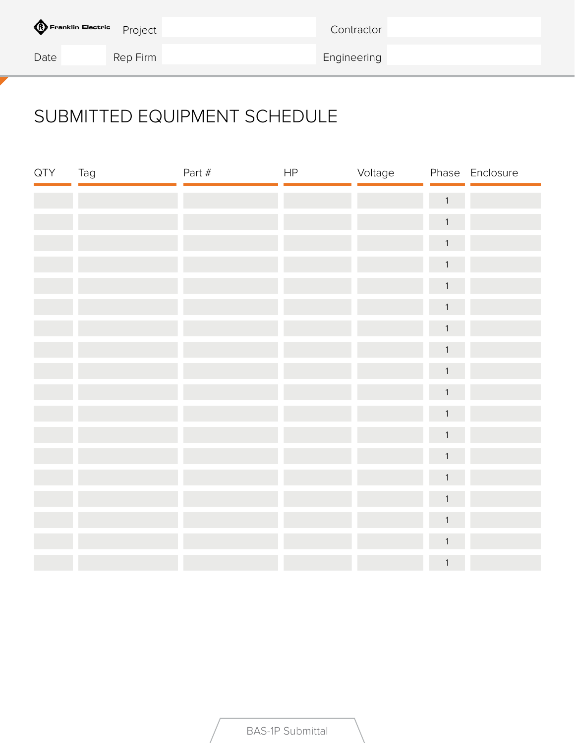| <b>CO</b> Franklin Electric Project |          | Contractor  |  |
|-------------------------------------|----------|-------------|--|
| Date                                | Rep Firm | Engineering |  |

# SUBMITTED EQUIPMENT SCHEDULE

| QTY | Tag | Part # | $\sf HP$ | Voltage |                | Phase Enclosure |
|-----|-----|--------|----------|---------|----------------|-----------------|
|     |     |        |          |         | $\overline{1}$ |                 |
|     |     |        |          |         | $\mathbf{1}$   |                 |
|     |     |        |          |         | $\mathbf 1$    |                 |
|     |     |        |          |         | $\mathbf{1}$   |                 |
|     |     |        |          |         | $\mathbf{1}$   |                 |
|     |     |        |          |         | $\mathbf{1}$   |                 |
|     |     |        |          |         | $\mathbf{1}$   |                 |
|     |     |        |          |         | $\mathbf{1}$   |                 |
|     |     |        |          |         | $\mathbf{1}$   |                 |
|     |     |        |          |         | $\mathbf{1}$   |                 |
|     |     |        |          |         | $\mathbf{1}$   |                 |
|     |     |        |          |         | $\mathbf{1}$   |                 |
|     |     |        |          |         | $\mathbf{1}$   |                 |
|     |     |        |          |         | $\mathbf{1}$   |                 |
|     |     |        |          |         | $\mathbf{1}$   |                 |
|     |     |        |          |         | $\mathbf 1$    |                 |
|     |     |        |          |         | $\mathbf{1}$   |                 |
|     |     |        |          |         | $\mathbf 1$    |                 |

BAS-1P Submittal